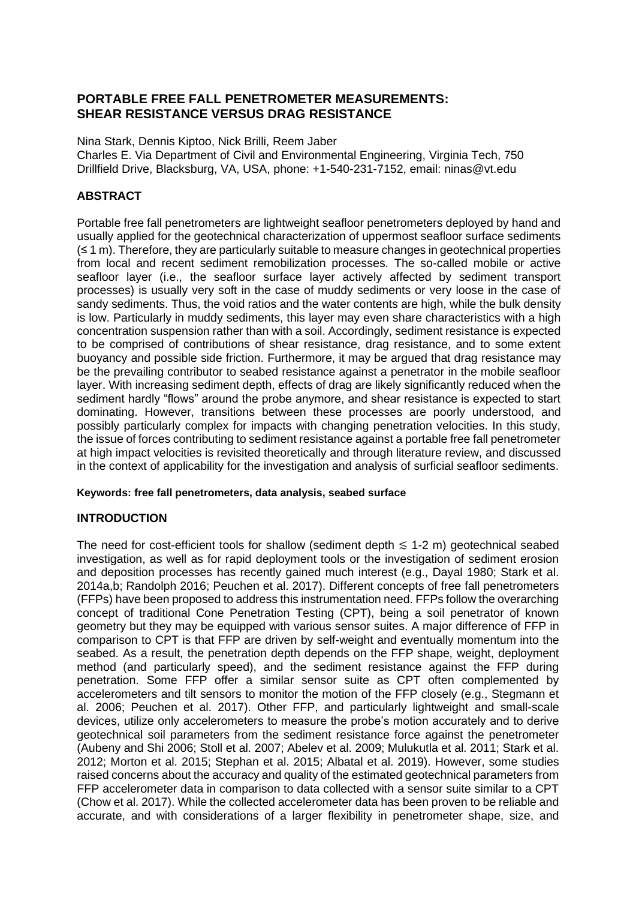# **PORTABLE FREE FALL PENETROMETER MEASUREMENTS: SHEAR RESISTANCE VERSUS DRAG RESISTANCE**

Nina Stark, Dennis Kiptoo, Nick Brilli, Reem Jaber Charles E. Via Department of Civil and Environmental Engineering, Virginia Tech, 750 Drillfield Drive, Blacksburg, VA, USA, phone: +1-540-231-7152, email: ninas@vt.edu

# **ABSTRACT**

Portable free fall penetrometers are lightweight seafloor penetrometers deployed by hand and usually applied for the geotechnical characterization of uppermost seafloor surface sediments (≤ 1 m). Therefore, they are particularly suitable to measure changes in geotechnical properties from local and recent sediment remobilization processes. The so-called mobile or active seafloor layer (i.e., the seafloor surface layer actively affected by sediment transport processes) is usually very soft in the case of muddy sediments or very loose in the case of sandy sediments. Thus, the void ratios and the water contents are high, while the bulk density is low. Particularly in muddy sediments, this layer may even share characteristics with a high concentration suspension rather than with a soil. Accordingly, sediment resistance is expected to be comprised of contributions of shear resistance, drag resistance, and to some extent buoyancy and possible side friction. Furthermore, it may be argued that drag resistance may be the prevailing contributor to seabed resistance against a penetrator in the mobile seafloor layer. With increasing sediment depth, effects of drag are likely significantly reduced when the sediment hardly "flows" around the probe anymore, and shear resistance is expected to start dominating. However, transitions between these processes are poorly understood, and possibly particularly complex for impacts with changing penetration velocities. In this study, the issue of forces contributing to sediment resistance against a portable free fall penetrometer at high impact velocities is revisited theoretically and through literature review, and discussed in the context of applicability for the investigation and analysis of surficial seafloor sediments.

# **Keywords: free fall penetrometers, data analysis, seabed surface**

# **INTRODUCTION**

The need for cost-efficient tools for shallow (sediment depth  $\leq 1$ -2 m) geotechnical seabed investigation, as well as for rapid deployment tools or the investigation of sediment erosion and deposition processes has recently gained much interest (e.g., Dayal 1980; Stark et al. 2014a,b; Randolph 2016; Peuchen et al. 2017). Different concepts of free fall penetrometers (FFPs) have been proposed to address this instrumentation need. FFPs follow the overarching concept of traditional Cone Penetration Testing (CPT), being a soil penetrator of known geometry but they may be equipped with various sensor suites. A major difference of FFP in comparison to CPT is that FFP are driven by self-weight and eventually momentum into the seabed. As a result, the penetration depth depends on the FFP shape, weight, deployment method (and particularly speed), and the sediment resistance against the FFP during penetration. Some FFP offer a similar sensor suite as CPT often complemented by accelerometers and tilt sensors to monitor the motion of the FFP closely (e.g., Stegmann et al. 2006; Peuchen et al. 2017). Other FFP, and particularly lightweight and small-scale devices, utilize only accelerometers to measure the probe's motion accurately and to derive geotechnical soil parameters from the sediment resistance force against the penetrometer (Aubeny and Shi 2006; Stoll et al. 2007; Abelev et al. 2009; Mulukutla et al. 2011; Stark et al. 2012; Morton et al. 2015; Stephan et al. 2015; Albatal et al. 2019). However, some studies raised concerns about the accuracy and quality of the estimated geotechnical parameters from FFP accelerometer data in comparison to data collected with a sensor suite similar to a CPT (Chow et al. 2017). While the collected accelerometer data has been proven to be reliable and accurate, and with considerations of a larger flexibility in penetrometer shape, size, and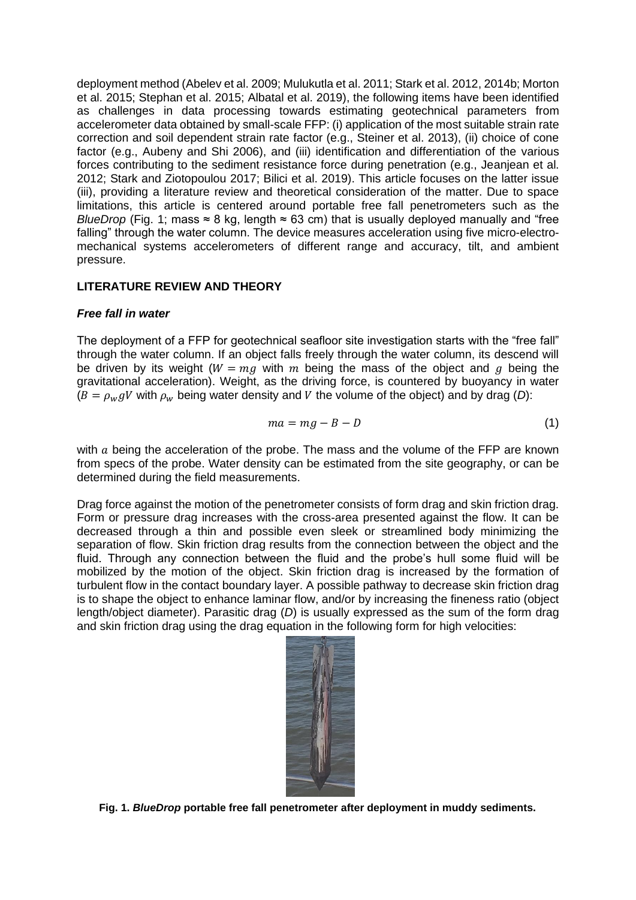deployment method (Abelev et al. 2009; Mulukutla et al. 2011; Stark et al. 2012, 2014b; Morton et al. 2015; Stephan et al. 2015; Albatal et al. 2019), the following items have been identified as challenges in data processing towards estimating geotechnical parameters from accelerometer data obtained by small-scale FFP: (i) application of the most suitable strain rate correction and soil dependent strain rate factor (e.g., Steiner et al. 2013), (ii) choice of cone factor (e.g., Aubeny and Shi 2006), and (iii) identification and differentiation of the various forces contributing to the sediment resistance force during penetration (e.g., Jeanjean et al. 2012; Stark and Ziotopoulou 2017; Bilici et al. 2019). This article focuses on the latter issue (iii), providing a literature review and theoretical consideration of the matter. Due to space limitations, this article is centered around portable free fall penetrometers such as the *BlueDrop* (Fig. 1; mass ≈ 8 kg, length ≈ 63 cm) that is usually deployed manually and "free falling" through the water column. The device measures acceleration using five micro-electromechanical systems accelerometers of different range and accuracy, tilt, and ambient pressure.

# **LITERATURE REVIEW AND THEORY**

# *Free fall in water*

The deployment of a FFP for geotechnical seafloor site investigation starts with the "free fall" through the water column. If an object falls freely through the water column, its descend will be driven by its weight ( $W = mg$  with m being the mass of the object and g being the gravitational acceleration). Weight, as the driving force, is countered by buoyancy in water  $(B = \rho_w qV$  with  $\rho_w$  being water density and V the volume of the object) and by drag (D):

$$
ma = mg - B - D \tag{1}
$$

with  $a$  being the acceleration of the probe. The mass and the volume of the FFP are known from specs of the probe. Water density can be estimated from the site geography, or can be determined during the field measurements.

Drag force against the motion of the penetrometer consists of form drag and skin friction drag. Form or pressure drag increases with the cross-area presented against the flow. It can be decreased through a thin and possible even sleek or streamlined body minimizing the separation of flow. Skin friction drag results from the connection between the object and the fluid. Through any connection between the fluid and the probe's hull some fluid will be mobilized by the motion of the object. Skin friction drag is increased by the formation of turbulent flow in the contact boundary layer. A possible pathway to decrease skin friction drag is to shape the object to enhance laminar flow, and/or by increasing the fineness ratio (object length/object diameter). Parasitic drag (*D*) is usually expressed as the sum of the form drag and skin friction drag using the drag equation in the following form for high velocities:



**Fig. 1.** *BlueDrop* **portable free fall penetrometer after deployment in muddy sediments.**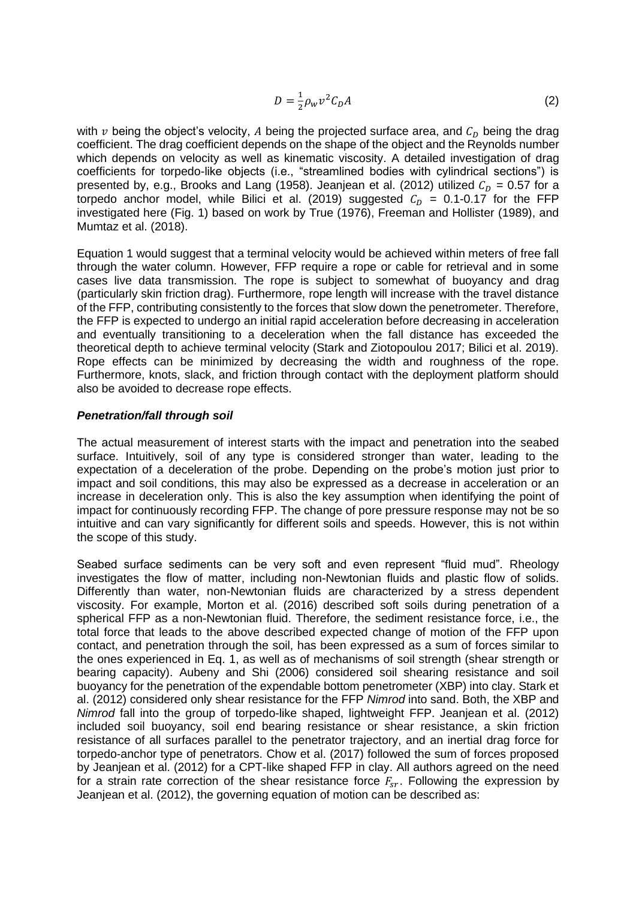$$
D = \frac{1}{2}\rho_W v^2 C_D A \tag{2}
$$

with  $v$  being the object's velocity, A being the projected surface area, and  $C_D$  being the drag coefficient. The drag coefficient depends on the shape of the object and the Reynolds number which depends on velocity as well as kinematic viscosity. A detailed investigation of drag coefficients for torpedo-like objects (i.e., "streamlined bodies with cylindrical sections") is presented by, e.g., Brooks and Lang (1958). Jeanjean et al. (2012) utilized  $C<sub>D</sub> = 0.57$  for a torpedo anchor model, while Bilici et al. (2019) suggested  $C<sub>D</sub> = 0.1$ -0.17 for the FFP investigated here (Fig. 1) based on work by True (1976), Freeman and Hollister (1989), and Mumtaz et al. (2018).

Equation 1 would suggest that a terminal velocity would be achieved within meters of free fall through the water column. However, FFP require a rope or cable for retrieval and in some cases live data transmission. The rope is subject to somewhat of buoyancy and drag (particularly skin friction drag). Furthermore, rope length will increase with the travel distance of the FFP, contributing consistently to the forces that slow down the penetrometer. Therefore, the FFP is expected to undergo an initial rapid acceleration before decreasing in acceleration and eventually transitioning to a deceleration when the fall distance has exceeded the theoretical depth to achieve terminal velocity (Stark and Ziotopoulou 2017; Bilici et al. 2019). Rope effects can be minimized by decreasing the width and roughness of the rope. Furthermore, knots, slack, and friction through contact with the deployment platform should also be avoided to decrease rope effects.

### *Penetration/fall through soil*

The actual measurement of interest starts with the impact and penetration into the seabed surface. Intuitively, soil of any type is considered stronger than water, leading to the expectation of a deceleration of the probe. Depending on the probe's motion just prior to impact and soil conditions, this may also be expressed as a decrease in acceleration or an increase in deceleration only. This is also the key assumption when identifying the point of impact for continuously recording FFP. The change of pore pressure response may not be so intuitive and can vary significantly for different soils and speeds. However, this is not within the scope of this study.

Seabed surface sediments can be very soft and even represent "fluid mud". Rheology investigates the flow of matter, including non-Newtonian fluids and plastic flow of solids. Differently than water, non-Newtonian fluids are characterized by a stress dependent viscosity. For example, Morton et al. (2016) described soft soils during penetration of a spherical FFP as a non-Newtonian fluid. Therefore, the sediment resistance force, i.e., the total force that leads to the above described expected change of motion of the FFP upon contact, and penetration through the soil, has been expressed as a sum of forces similar to the ones experienced in Eq. 1, as well as of mechanisms of soil strength (shear strength or bearing capacity). Aubeny and Shi (2006) considered soil shearing resistance and soil buoyancy for the penetration of the expendable bottom penetrometer (XBP) into clay. Stark et al. (2012) considered only shear resistance for the FFP *Nimrod* into sand. Both, the XBP and *Nimrod* fall into the group of torpedo-like shaped, lightweight FFP. Jeanjean et al. (2012) included soil buoyancy, soil end bearing resistance or shear resistance, a skin friction resistance of all surfaces parallel to the penetrator trajectory, and an inertial drag force for torpedo-anchor type of penetrators. Chow et al. (2017) followed the sum of forces proposed by Jeanjean et al. (2012) for a CPT-like shaped FFP in clay. All authors agreed on the need for a strain rate correction of the shear resistance force  $F_{sr}$ . Following the expression by Jeanjean et al. (2012), the governing equation of motion can be described as: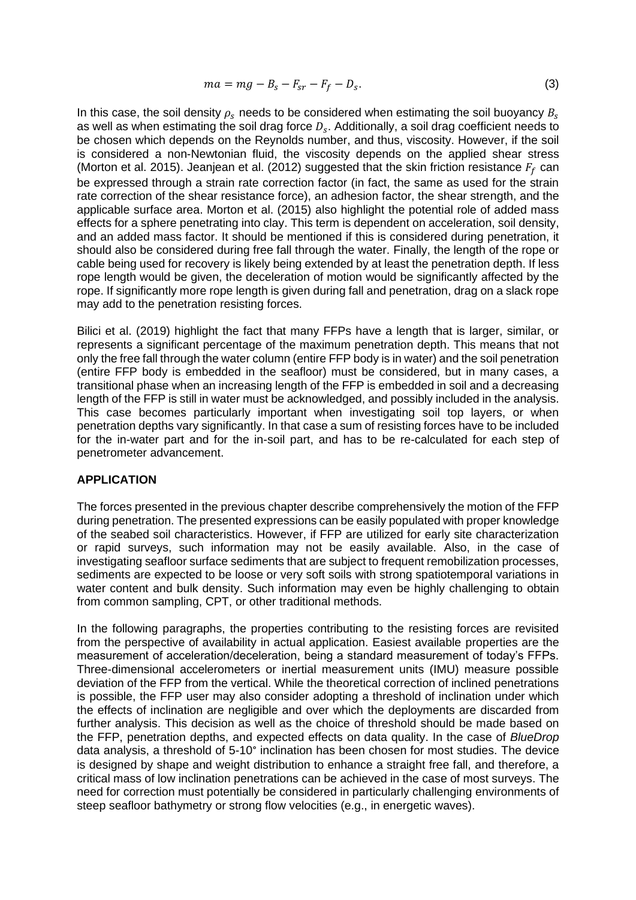$$
ma = mg - B_s - F_{sr} - F_f - D_s. \tag{3}
$$

In this case, the soil density  $\rho_s$  needs to be considered when estimating the soil buoyancy  $B_s$ as well as when estimating the soil drag force  $D_s$ . Additionally, a soil drag coefficient needs to be chosen which depends on the Reynolds number, and thus, viscosity. However, if the soil is considered a non-Newtonian fluid, the viscosity depends on the applied shear stress (Morton et al. 2015). Jeanjean et al. (2012) suggested that the skin friction resistance  $F_f$  can be expressed through a strain rate correction factor (in fact, the same as used for the strain rate correction of the shear resistance force), an adhesion factor, the shear strength, and the applicable surface area. Morton et al. (2015) also highlight the potential role of added mass effects for a sphere penetrating into clay. This term is dependent on acceleration, soil density, and an added mass factor. It should be mentioned if this is considered during penetration, it should also be considered during free fall through the water. Finally, the length of the rope or cable being used for recovery is likely being extended by at least the penetration depth. If less rope length would be given, the deceleration of motion would be significantly affected by the rope. If significantly more rope length is given during fall and penetration, drag on a slack rope may add to the penetration resisting forces.

Bilici et al. (2019) highlight the fact that many FFPs have a length that is larger, similar, or represents a significant percentage of the maximum penetration depth. This means that not only the free fall through the water column (entire FFP body is in water) and the soil penetration (entire FFP body is embedded in the seafloor) must be considered, but in many cases, a transitional phase when an increasing length of the FFP is embedded in soil and a decreasing length of the FFP is still in water must be acknowledged, and possibly included in the analysis. This case becomes particularly important when investigating soil top layers, or when penetration depths vary significantly. In that case a sum of resisting forces have to be included for the in-water part and for the in-soil part, and has to be re-calculated for each step of penetrometer advancement.

#### **APPLICATION**

The forces presented in the previous chapter describe comprehensively the motion of the FFP during penetration. The presented expressions can be easily populated with proper knowledge of the seabed soil characteristics. However, if FFP are utilized for early site characterization or rapid surveys, such information may not be easily available. Also, in the case of investigating seafloor surface sediments that are subject to frequent remobilization processes, sediments are expected to be loose or very soft soils with strong spatiotemporal variations in water content and bulk density. Such information may even be highly challenging to obtain from common sampling, CPT, or other traditional methods.

In the following paragraphs, the properties contributing to the resisting forces are revisited from the perspective of availability in actual application. Easiest available properties are the measurement of acceleration/deceleration, being a standard measurement of today's FFPs. Three-dimensional accelerometers or inertial measurement units (IMU) measure possible deviation of the FFP from the vertical. While the theoretical correction of inclined penetrations is possible, the FFP user may also consider adopting a threshold of inclination under which the effects of inclination are negligible and over which the deployments are discarded from further analysis. This decision as well as the choice of threshold should be made based on the FFP, penetration depths, and expected effects on data quality. In the case of *BlueDrop*  data analysis, a threshold of 5-10° inclination has been chosen for most studies. The device is designed by shape and weight distribution to enhance a straight free fall, and therefore, a critical mass of low inclination penetrations can be achieved in the case of most surveys. The need for correction must potentially be considered in particularly challenging environments of steep seafloor bathymetry or strong flow velocities (e.g., in energetic waves).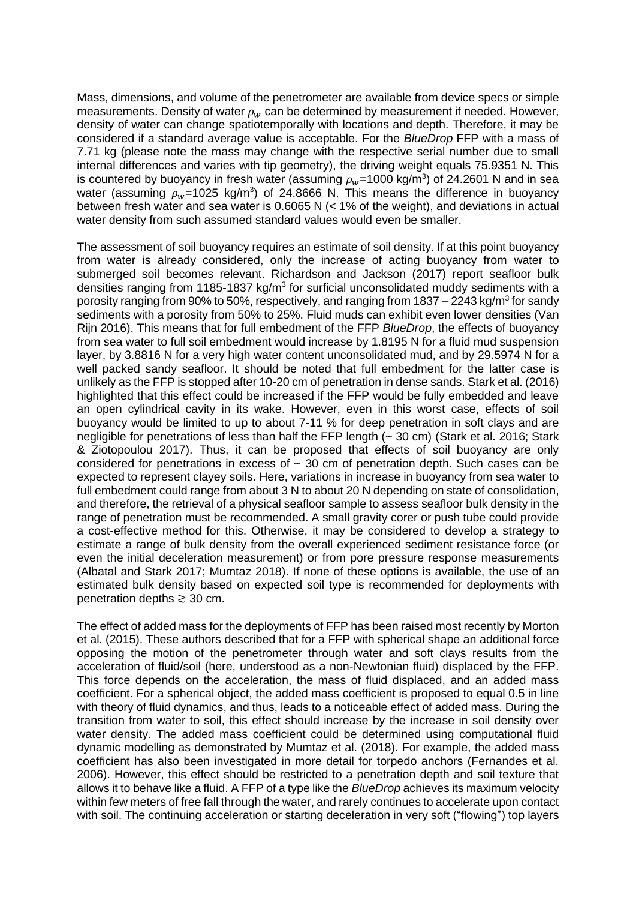Mass, dimensions, and volume of the penetrometer are available from device specs or simple measurements. Density of water  $\rho_w$  can be determined by measurement if needed. However, density of water can change spatiotemporally with locations and depth. Therefore, it may be considered if a standard average value is acceptable. For the *BlueDrop* FFP with a mass of 7.71 kg (please note the mass may change with the respective serial number due to small internal differences and varies with tip geometry), the driving weight equals 75.9351 N. This is countered by buoyancy in fresh water (assuming  $\rho_w$ =1000 kg/m<sup>3</sup>) of 24.2601 N and in sea water (assuming  $\rho_w$ =1025 kg/m<sup>3</sup>) of 24.8666 N. This means the difference in buoyancy between fresh water and sea water is 0.6065 N (< 1% of the weight), and deviations in actual water density from such assumed standard values would even be smaller.

The assessment of soil buoyancy requires an estimate of soil density. If at this point buoyancy from water is already considered, only the increase of acting buoyancy from water to submerged soil becomes relevant. Richardson and Jackson (2017) report seafloor bulk densities ranging from 1185-1837 kg/m<sup>3</sup> for surficial unconsolidated muddy sediments with a porosity ranging from 90% to 50%, respectively, and ranging from 1837 – 2243 kg/m<sup>3</sup> for sandy sediments with a porosity from 50% to 25%. Fluid muds can exhibit even lower densities (Van Rijn 2016). This means that for full embedment of the FFP *BlueDrop*, the effects of buoyancy from sea water to full soil embedment would increase by 1.8195 N for a fluid mud suspension layer, by 3.8816 N for a very high water content unconsolidated mud, and by 29.5974 N for a well packed sandy seafloor. It should be noted that full embedment for the latter case is unlikely as the FFP is stopped after 10-20 cm of penetration in dense sands. Stark et al. (2016) highlighted that this effect could be increased if the FFP would be fully embedded and leave an open cylindrical cavity in its wake. However, even in this worst case, effects of soil buoyancy would be limited to up to about 7-11 % for deep penetration in soft clays and are negligible for penetrations of less than half the FFP length (~ 30 cm) (Stark et al. 2016; Stark & Ziotopoulou 2017). Thus, it can be proposed that effects of soil buoyancy are only considered for penetrations in excess of  $\sim$  30 cm of penetration depth. Such cases can be expected to represent clayey soils. Here, variations in increase in buoyancy from sea water to full embedment could range from about 3 N to about 20 N depending on state of consolidation, and therefore, the retrieval of a physical seafloor sample to assess seafloor bulk density in the range of penetration must be recommended. A small gravity corer or push tube could provide a cost-effective method for this. Otherwise, it may be considered to develop a strategy to estimate a range of bulk density from the overall experienced sediment resistance force (or even the initial deceleration measurement) or from pore pressure response measurements (Albatal and Stark 2017; Mumtaz 2018). If none of these options is available, the use of an estimated bulk density based on expected soil type is recommended for deployments with penetration depths  $\geq 30$  cm.

The effect of added mass for the deployments of FFP has been raised most recently by Morton et al. (2015). These authors described that for a FFP with spherical shape an additional force opposing the motion of the penetrometer through water and soft clays results from the acceleration of fluid/soil (here, understood as a non-Newtonian fluid) displaced by the FFP. This force depends on the acceleration, the mass of fluid displaced, and an added mass coefficient. For a spherical object, the added mass coefficient is proposed to equal 0.5 in line with theory of fluid dynamics, and thus, leads to a noticeable effect of added mass. During the transition from water to soil, this effect should increase by the increase in soil density over water density. The added mass coefficient could be determined using computational fluid dynamic modelling as demonstrated by Mumtaz et al. (2018). For example, the added mass coefficient has also been investigated in more detail for torpedo anchors (Fernandes et al. 2006). However, this effect should be restricted to a penetration depth and soil texture that allows it to behave like a fluid. A FFP of a type like the *BlueDrop* achieves its maximum velocity within few meters of free fall through the water, and rarely continues to accelerate upon contact with soil. The continuing acceleration or starting deceleration in very soft ("flowing") top layers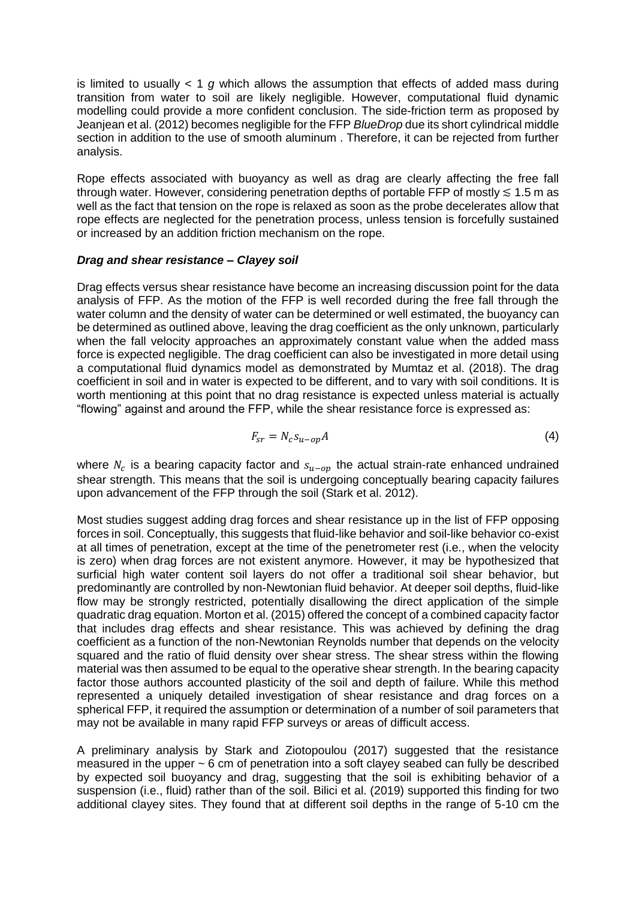is limited to usually < 1 *g* which allows the assumption that effects of added mass during transition from water to soil are likely negligible. However, computational fluid dynamic modelling could provide a more confident conclusion. The side-friction term as proposed by Jeanjean et al. (2012) becomes negligible for the FFP *BlueDrop* due its short cylindrical middle section in addition to the use of smooth aluminum. Therefore, it can be rejected from further analysis.

Rope effects associated with buoyancy as well as drag are clearly affecting the free fall through water. However, considering penetration depths of portable FFP of mostly  $\leq 1.5$  m as well as the fact that tension on the rope is relaxed as soon as the probe decelerates allow that rope effects are neglected for the penetration process, unless tension is forcefully sustained or increased by an addition friction mechanism on the rope.

### *Drag and shear resistance – Clayey soil*

Drag effects versus shear resistance have become an increasing discussion point for the data analysis of FFP. As the motion of the FFP is well recorded during the free fall through the water column and the density of water can be determined or well estimated, the buoyancy can be determined as outlined above, leaving the drag coefficient as the only unknown, particularly when the fall velocity approaches an approximately constant value when the added mass force is expected negligible. The drag coefficient can also be investigated in more detail using a computational fluid dynamics model as demonstrated by Mumtaz et al. (2018). The drag coefficient in soil and in water is expected to be different, and to vary with soil conditions. It is worth mentioning at this point that no drag resistance is expected unless material is actually "flowing" against and around the FFP, while the shear resistance force is expressed as:

$$
F_{sr} = N_c s_{u-op} A \tag{4}
$$

where  $N_c$  is a bearing capacity factor and  $s_{u-op}$  the actual strain-rate enhanced undrained shear strength. This means that the soil is undergoing conceptually bearing capacity failures upon advancement of the FFP through the soil (Stark et al. 2012).

Most studies suggest adding drag forces and shear resistance up in the list of FFP opposing forces in soil. Conceptually, this suggests that fluid-like behavior and soil-like behavior co-exist at all times of penetration, except at the time of the penetrometer rest (i.e., when the velocity is zero) when drag forces are not existent anymore. However, it may be hypothesized that surficial high water content soil layers do not offer a traditional soil shear behavior, but predominantly are controlled by non-Newtonian fluid behavior. At deeper soil depths, fluid-like flow may be strongly restricted, potentially disallowing the direct application of the simple quadratic drag equation. Morton et al. (2015) offered the concept of a combined capacity factor that includes drag effects and shear resistance. This was achieved by defining the drag coefficient as a function of the non-Newtonian Reynolds number that depends on the velocity squared and the ratio of fluid density over shear stress. The shear stress within the flowing material was then assumed to be equal to the operative shear strength. In the bearing capacity factor those authors accounted plasticity of the soil and depth of failure. While this method represented a uniquely detailed investigation of shear resistance and drag forces on a spherical FFP, it required the assumption or determination of a number of soil parameters that may not be available in many rapid FFP surveys or areas of difficult access.

A preliminary analysis by Stark and Ziotopoulou (2017) suggested that the resistance measured in the upper ~ 6 cm of penetration into a soft clayey seabed can fully be described by expected soil buoyancy and drag, suggesting that the soil is exhibiting behavior of a suspension (i.e., fluid) rather than of the soil. Bilici et al. (2019) supported this finding for two additional clayey sites. They found that at different soil depths in the range of 5-10 cm the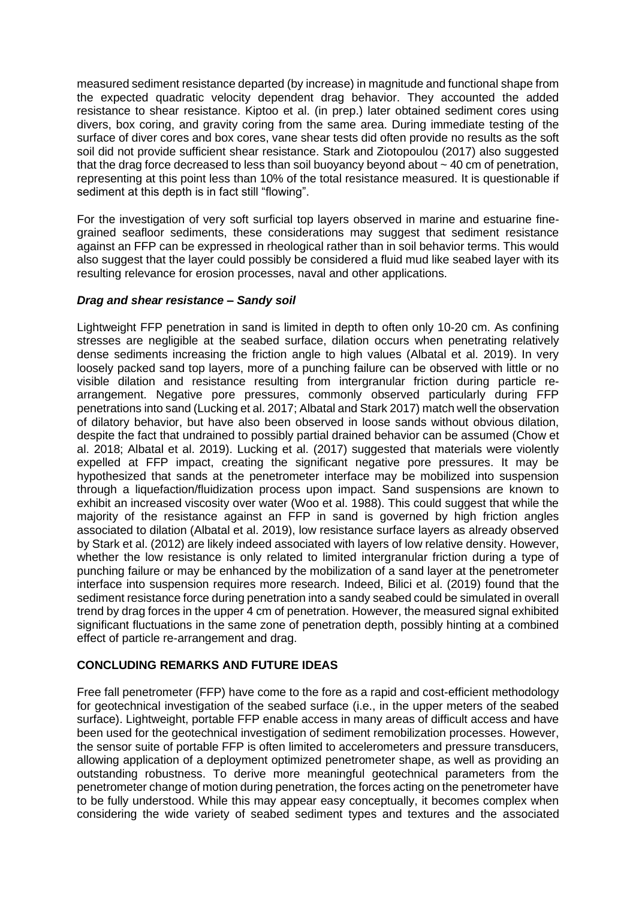measured sediment resistance departed (by increase) in magnitude and functional shape from the expected quadratic velocity dependent drag behavior. They accounted the added resistance to shear resistance. Kiptoo et al. (in prep.) later obtained sediment cores using divers, box coring, and gravity coring from the same area. During immediate testing of the surface of diver cores and box cores, vane shear tests did often provide no results as the soft soil did not provide sufficient shear resistance. Stark and Ziotopoulou (2017) also suggested that the drag force decreased to less than soil buoyancy beyond about  $\sim$  40 cm of penetration, representing at this point less than 10% of the total resistance measured. It is questionable if sediment at this depth is in fact still "flowing".

For the investigation of very soft surficial top layers observed in marine and estuarine finegrained seafloor sediments, these considerations may suggest that sediment resistance against an FFP can be expressed in rheological rather than in soil behavior terms. This would also suggest that the layer could possibly be considered a fluid mud like seabed layer with its resulting relevance for erosion processes, naval and other applications.

# *Drag and shear resistance – Sandy soil*

Lightweight FFP penetration in sand is limited in depth to often only 10-20 cm. As confining stresses are negligible at the seabed surface, dilation occurs when penetrating relatively dense sediments increasing the friction angle to high values (Albatal et al. 2019). In very loosely packed sand top layers, more of a punching failure can be observed with little or no visible dilation and resistance resulting from intergranular friction during particle rearrangement. Negative pore pressures, commonly observed particularly during FFP penetrations into sand (Lucking et al. 2017; Albatal and Stark 2017) match well the observation of dilatory behavior, but have also been observed in loose sands without obvious dilation, despite the fact that undrained to possibly partial drained behavior can be assumed (Chow et al. 2018; Albatal et al. 2019). Lucking et al. (2017) suggested that materials were violently expelled at FFP impact, creating the significant negative pore pressures. It may be hypothesized that sands at the penetrometer interface may be mobilized into suspension through a liquefaction/fluidization process upon impact. Sand suspensions are known to exhibit an increased viscosity over water (Woo et al. 1988). This could suggest that while the majority of the resistance against an FFP in sand is governed by high friction angles associated to dilation (Albatal et al. 2019), low resistance surface layers as already observed by Stark et al. (2012) are likely indeed associated with layers of low relative density. However, whether the low resistance is only related to limited intergranular friction during a type of punching failure or may be enhanced by the mobilization of a sand layer at the penetrometer interface into suspension requires more research. Indeed, Bilici et al. (2019) found that the sediment resistance force during penetration into a sandy seabed could be simulated in overall trend by drag forces in the upper 4 cm of penetration. However, the measured signal exhibited significant fluctuations in the same zone of penetration depth, possibly hinting at a combined effect of particle re-arrangement and drag.

# **CONCLUDING REMARKS AND FUTURE IDEAS**

Free fall penetrometer (FFP) have come to the fore as a rapid and cost-efficient methodology for geotechnical investigation of the seabed surface (i.e., in the upper meters of the seabed surface). Lightweight, portable FFP enable access in many areas of difficult access and have been used for the geotechnical investigation of sediment remobilization processes. However, the sensor suite of portable FFP is often limited to accelerometers and pressure transducers, allowing application of a deployment optimized penetrometer shape, as well as providing an outstanding robustness. To derive more meaningful geotechnical parameters from the penetrometer change of motion during penetration, the forces acting on the penetrometer have to be fully understood. While this may appear easy conceptually, it becomes complex when considering the wide variety of seabed sediment types and textures and the associated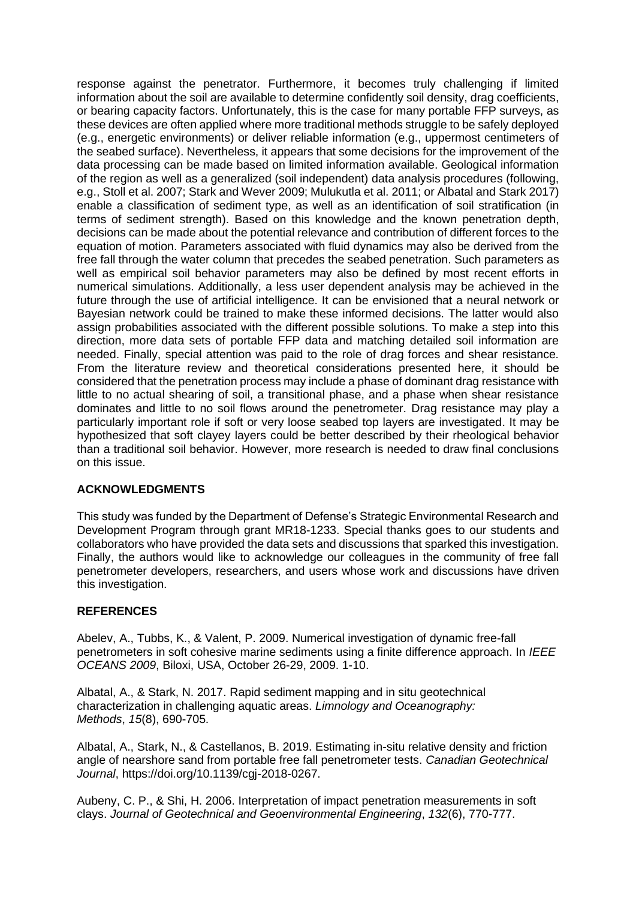response against the penetrator. Furthermore, it becomes truly challenging if limited information about the soil are available to determine confidently soil density, drag coefficients, or bearing capacity factors. Unfortunately, this is the case for many portable FFP surveys, as these devices are often applied where more traditional methods struggle to be safely deployed (e.g., energetic environments) or deliver reliable information (e.g., uppermost centimeters of the seabed surface). Nevertheless, it appears that some decisions for the improvement of the data processing can be made based on limited information available. Geological information of the region as well as a generalized (soil independent) data analysis procedures (following, e.g., Stoll et al. 2007; Stark and Wever 2009; Mulukutla et al. 2011; or Albatal and Stark 2017) enable a classification of sediment type, as well as an identification of soil stratification (in terms of sediment strength). Based on this knowledge and the known penetration depth, decisions can be made about the potential relevance and contribution of different forces to the equation of motion. Parameters associated with fluid dynamics may also be derived from the free fall through the water column that precedes the seabed penetration. Such parameters as well as empirical soil behavior parameters may also be defined by most recent efforts in numerical simulations. Additionally, a less user dependent analysis may be achieved in the future through the use of artificial intelligence. It can be envisioned that a neural network or Bayesian network could be trained to make these informed decisions. The latter would also assign probabilities associated with the different possible solutions. To make a step into this direction, more data sets of portable FFP data and matching detailed soil information are needed. Finally, special attention was paid to the role of drag forces and shear resistance. From the literature review and theoretical considerations presented here, it should be considered that the penetration process may include a phase of dominant drag resistance with little to no actual shearing of soil, a transitional phase, and a phase when shear resistance dominates and little to no soil flows around the penetrometer. Drag resistance may play a particularly important role if soft or very loose seabed top layers are investigated. It may be hypothesized that soft clayey layers could be better described by their rheological behavior than a traditional soil behavior. However, more research is needed to draw final conclusions on this issue.

# **ACKNOWLEDGMENTS**

This study was funded by the Department of Defense's Strategic Environmental Research and Development Program through grant MR18-1233. Special thanks goes to our students and collaborators who have provided the data sets and discussions that sparked this investigation. Finally, the authors would like to acknowledge our colleagues in the community of free fall penetrometer developers, researchers, and users whose work and discussions have driven this investigation.

#### **REFERENCES**

Abelev, A., Tubbs, K., & Valent, P. 2009. Numerical investigation of dynamic free-fall penetrometers in soft cohesive marine sediments using a finite difference approach. In *IEEE OCEANS 2009*, Biloxi, USA, October 26-29, 2009. 1-10.

Albatal, A., & Stark, N. 2017. Rapid sediment mapping and in situ geotechnical characterization in challenging aquatic areas. *Limnology and Oceanography: Methods*, *15*(8), 690-705.

Albatal, A., Stark, N., & Castellanos, B. 2019. Estimating in-situ relative density and friction angle of nearshore sand from portable free fall penetrometer tests. *Canadian Geotechnical Journal*, [https://doi.org/10.1139/cgj-2018-0267.](https://doi.org/10.1139/cgj-2018-0267)

Aubeny, C. P., & Shi, H. 2006. Interpretation of impact penetration measurements in soft clays. *Journal of Geotechnical and Geoenvironmental Engineering*, *132*(6), 770-777.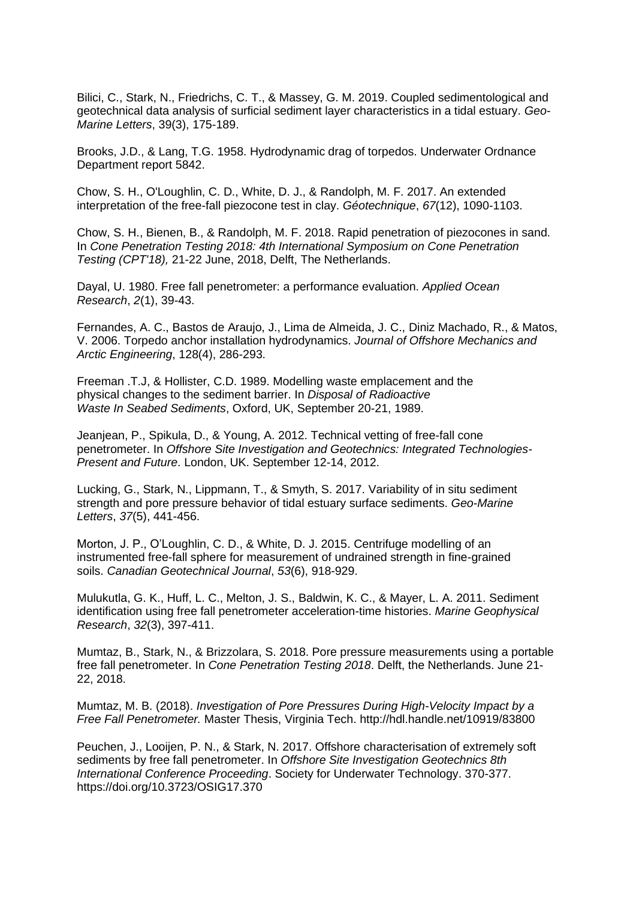Bilici, C., Stark, N., Friedrichs, C. T., & Massey, G. M. 2019. Coupled sedimentological and geotechnical data analysis of surficial sediment layer characteristics in a tidal estuary. *Geo-Marine Letters*, 39(3), 175-189.

Brooks, J.D., & Lang, T.G. 1958. Hydrodynamic drag of torpedos. Underwater Ordnance Department report 5842.

Chow, S. H., O'Loughlin, C. D., White, D. J., & Randolph, M. F. 2017. An extended interpretation of the free-fall piezocone test in clay. *Géotechnique*, *67*(12), 1090-1103.

Chow, S. H., Bienen, B., & Randolph, M. F. 2018. Rapid penetration of piezocones in sand. In *Cone Penetration Testing 2018: 4th International Symposium on Cone Penetration Testing (CPT'18),* 21-22 June, 2018, Delft, The Netherlands.

Dayal, U. 1980. Free fall penetrometer: a performance evaluation. *Applied Ocean Research*, *2*(1), 39-43.

Fernandes, A. C., Bastos de Araujo, J., Lima de Almeida, J. C., Diniz Machado, R., & Matos, V. 2006. Torpedo anchor installation hydrodynamics. *Journal of Offshore Mechanics and Arctic Engineering*, 128(4), 286-293.

Freeman .T.J, & Hollister, C.D. 1989. Modelling waste emplacement and the physical changes to the sediment barrier. In *Disposal of Radioactive Waste In Seabed Sediments*, Oxford, UK, September 20-21, 1989.

Jeanjean, P., Spikula, D., & Young, A. 2012. Technical vetting of free-fall cone penetrometer. In *Offshore Site Investigation and Geotechnics: Integrated Technologies-Present and Future*. London, UK. September 12-14, 2012.

Lucking, G., Stark, N., Lippmann, T., & Smyth, S. 2017. Variability of in situ sediment strength and pore pressure behavior of tidal estuary surface sediments. *Geo-Marine Letters*, *37*(5), 441-456.

Morton, J. P., O'Loughlin, C. D., & White, D. J. 2015. Centrifuge modelling of an instrumented free-fall sphere for measurement of undrained strength in fine-grained soils. *Canadian Geotechnical Journal*, *53*(6), 918-929.

Mulukutla, G. K., Huff, L. C., Melton, J. S., Baldwin, K. C., & Mayer, L. A. 2011. Sediment identification using free fall penetrometer acceleration-time histories. *Marine Geophysical Research*, *32*(3), 397-411.

Mumtaz, B., Stark, N., & Brizzolara, S. 2018. Pore pressure measurements using a portable free fall penetrometer. In *Cone Penetration Testing 2018*. Delft, the Netherlands. June 21- 22, 2018.

Mumtaz, M. B. (2018). *Investigation of Pore Pressures During High-Velocity Impact by a Free Fall Penetrometer.* Master Thesis, Virginia Tech. <http://hdl.handle.net/10919/83800>

Peuchen, J., Looijen, P. N., & Stark, N. 2017. Offshore characterisation of extremely soft sediments by free fall penetrometer. In *Offshore Site Investigation Geotechnics 8th International Conference Proceeding*. Society for Underwater Technology. 370-377. https://doi.org/10.3723/OSIG17.370